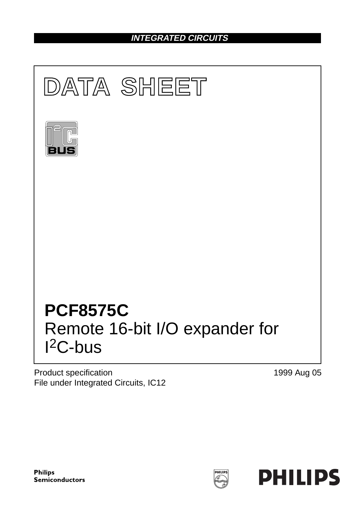## **INTEGRATED CIRCUITS**



Product specification File under Integrated Circuits, IC12 1999 Aug 05



**HILIP**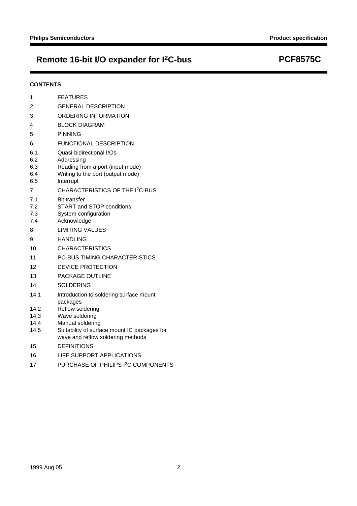# **Remote 16-bit I/O expander for I2C-bus PCF8575C**

### **CONTENTS**

| 1                               | <b>FEATURES</b>                                                                                                              |
|---------------------------------|------------------------------------------------------------------------------------------------------------------------------|
| 2                               | <b>GENERAL DESCRIPTION</b>                                                                                                   |
| 3                               | ORDERING INFORMATION                                                                                                         |
| 4                               | <b>BLOCK DIAGRAM</b>                                                                                                         |
| 5                               | <b>PINNING</b>                                                                                                               |
| 6                               | FUNCTIONAL DESCRIPTION                                                                                                       |
| 6.1<br>6.2<br>6.3<br>6.4<br>6.5 | Quasi-bidirectional I/Os<br>Addressing<br>Reading from a port (input mode)<br>Writing to the port (output mode)<br>Interrupt |
| $\overline{7}$                  | CHARACTERISTICS OF THE I <sup>2</sup> C-BUS                                                                                  |
| 7.1<br>7.2<br>7.3<br>7.4        | <b>Bit transfer</b><br><b>START and STOP conditions</b><br>System configuration<br>Acknowledge                               |
| 8                               | <b>LIMITING VALUES</b>                                                                                                       |
| 9                               | <b>HANDLING</b>                                                                                                              |
| 10                              | <b>CHARACTERISTICS</b>                                                                                                       |
| 11                              | <b>I<sup>2</sup>C-BUS TIMING CHARACTERISTICS</b>                                                                             |
| 12                              | <b>DEVICE PROTECTION</b>                                                                                                     |
| 13                              | PACKAGE OUTLINE                                                                                                              |
| 14                              | <b>SOLDERING</b>                                                                                                             |
| 14.1                            | Introduction to soldering surface mount<br>packages                                                                          |
| 14.2                            | Reflow soldering                                                                                                             |
| 14.3                            | Wave soldering                                                                                                               |
| 14.4<br>14.5                    | Manual soldering<br>Suitability of surface mount IC packages for<br>wave and reflow soldering methods                        |
| 15                              | <b>DEFINITIONS</b>                                                                                                           |
| 16                              | LIFE SUPPORT APPLICATIONS                                                                                                    |
| 17                              | PURCHASE OF PHILIPS I <sup>2</sup> C COMPONENTS                                                                              |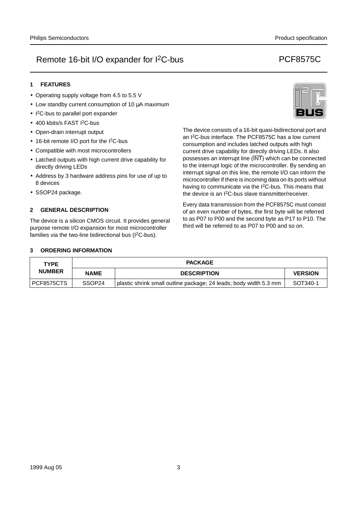### **1 FEATURES**

- Operating supply voltage from 4.5 to 5.5 V
- Low standby current consumption of 10 µA maximum
- I<sup>2</sup>C-bus to parallel port expander
- 400 kbits/s FAST I<sup>2</sup>C-bus
- Open-drain interrupt output
- 16-bit remote I/O port for the I<sup>2</sup>C-bus
- Compatible with most microcontrollers
- Latched outputs with high current drive capability for directly driving LEDs
- Address by 3 hardware address pins for use of up to 8 devices
- SSOP24 package.

### **2 GENERAL DESCRIPTION**

The device is a silicon CMOS circuit. It provides general purpose remote I/O expansion for most microcontroller families via the two-line bidirectional bus  $(1^2C$ -bus).



The device consists of a 16-bit quasi-bidirectional port and an I2C-bus interface. The PCF8575C has a low current consumption and includes latched outputs with high current drive capability for directly driving LEDs. It also possesses an interrupt line (INT) which can be connected to the interrupt logic of the microcontroller. By sending an interrupt signal on this line, the remote I/O can inform the microcontroller if there is incoming data on its ports without having to communicate via the I<sup>2</sup>C-bus. This means that the device is an I2C-bus slave transmitter/receiver.

Every data transmission from the PCF8575C must consist of an even number of bytes, the first byte will be referred to as P07 to P00 and the second byte as P17 to P10. The third will be referred to as P07 to P00 and so on.

#### **3 ORDERING INFORMATION**

| <b>TYPE</b>   |                    | <b>PACKAGE</b>                                                    |                |
|---------------|--------------------|-------------------------------------------------------------------|----------------|
| <b>NUMBER</b> | <b>NAME</b>        | <b>DESCRIPTION</b>                                                | <b>VERSION</b> |
| PCF8575CTS    | SSOP <sub>24</sub> | plastic shrink small outline package; 24 leads; body width 5.3 mm | SOT340-1       |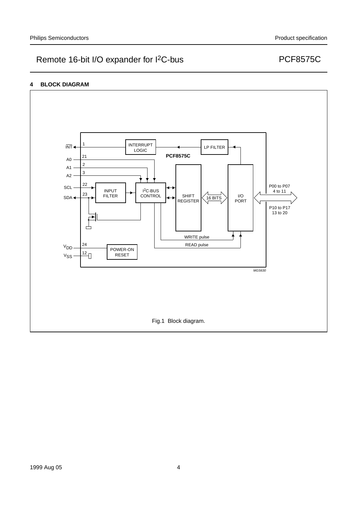### **4 BLOCK DIAGRAM**

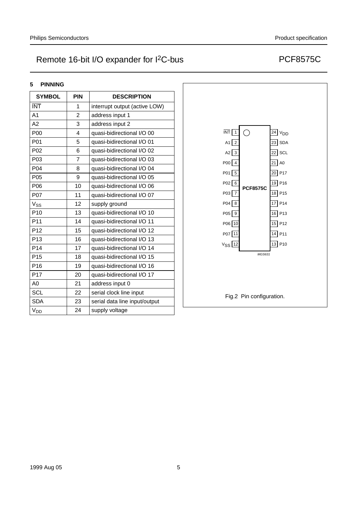### **5 PINNING**

| <b>SYMBOL</b>    | <b>PIN</b>     | <b>DESCRIPTION</b>            |
|------------------|----------------|-------------------------------|
| <b>INT</b>       | 1              | interrupt output (active LOW) |
| A <sub>1</sub>   | $\overline{2}$ | address input 1               |
| A2               | 3              | address input 2               |
| P00              | 4              | quasi-bidirectional I/O 00    |
| P01              | 5              | quasi-bidirectional I/O 01    |
| P02              | 6              | quasi-bidirectional I/O 02    |
| P03              | $\overline{7}$ | quasi-bidirectional I/O 03    |
| P04              | 8              | quasi-bidirectional I/O 04    |
| P <sub>05</sub>  | 9              | quasi-bidirectional I/O 05    |
| P06              | 10             | quasi-bidirectional I/O 06    |
| P <sub>0</sub> 7 | 11             | quasi-bidirectional I/O 07    |
| $V_{SS}$         | 12             | supply ground                 |
| P <sub>10</sub>  | 13             | quasi-bidirectional I/O 10    |
| P11              | 14             | quasi-bidirectional I/O 11    |
| P <sub>12</sub>  | 15             | quasi-bidirectional I/O 12    |
| P <sub>13</sub>  | 16             | quasi-bidirectional I/O 13    |
| P <sub>14</sub>  | 17             | quasi-bidirectional I/O 14    |
| P <sub>15</sub>  | 18             | quasi-bidirectional I/O 15    |
| P <sub>16</sub>  | 19             | quasi-bidirectional I/O 16    |
| P17              | 20             | quasi-bidirectional I/O 17    |
| A0               | 21             | address input 0               |
| <b>SCL</b>       | 22             | serial clock line input       |
| <b>SDA</b>       | 23             | serial data line input/output |
| $V_{DD}$         | 24             | supply voltage                |

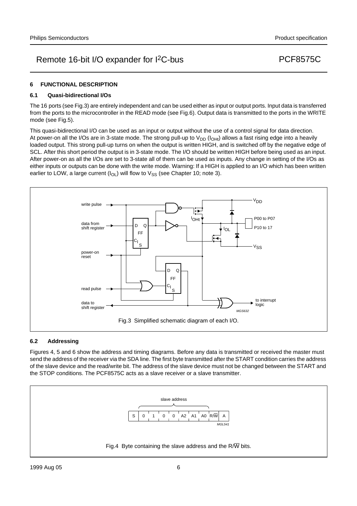#### **6 FUNCTIONAL DESCRIPTION**

#### **6.1 Quasi-bidirectional I/Os**

The 16 ports (see Fig.3) are entirely independent and can be used either as input or output ports. Input data is transferred from the ports to the microcontroller in the READ mode (see Fig.6). Output data is transmitted to the ports in the WRITE mode (see Fig.5).

This quasi-bidirectional I/O can be used as an input or output without the use of a control signal for data direction. At power-on all the I/Os are in 3-state mode. The strong pull-up to  $V_{DD}$  ( $I_{OHt}$ ) allows a fast rising edge into a heavily loaded output. This strong pull-up turns on when the output is written HIGH, and is switched off by the negative edge of SCL. After this short period the output is in 3-state mode. The I/O should be written HIGH before being used as an input. After power-on as all the I/Os are set to 3-state all of them can be used as inputs. Any change in setting of the I/Os as either inputs or outputs can be done with the write mode. Warning: If a HIGH is applied to an I/O which has been written earlier to LOW, a large current  $(I_{OL})$  will flow to  $V_{SS}$  (see Chapter 10; note 3).



#### **6.2 Addressing**

Figures 4, 5 and 6 show the address and timing diagrams. Before any data is transmitted or received the master must send the address of the receiver via the SDA line. The first byte transmitted after the START condition carries the address of the slave device and the read/write bit. The address of the slave device must not be changed between the START and the STOP conditions. The PCF8575C acts as a slave receiver or a slave transmitter.

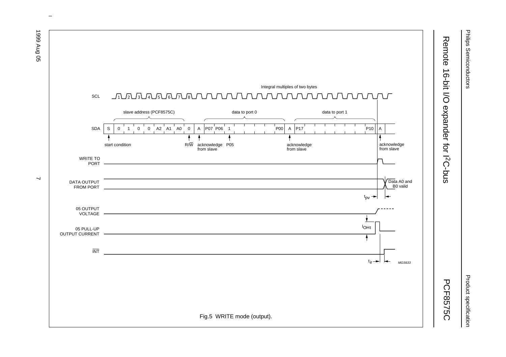

 $\omega$  rotated correctly when browsing through the pdf in the Acrobat reader.This text is here in the pdf in the  $\alpha$ 

Philips Semiconductors Philips Semiconductors

1999 Aug 05 7  $\overline{\phantom{0}}$ 

> Product specification Product specification

1999 Aug 05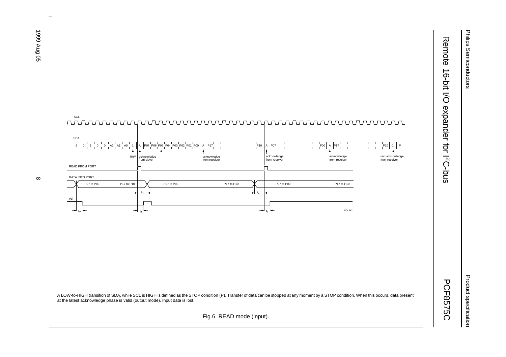Philips Semiconductors Philips Semiconductors

Product specification Product specification



1999 Aug 05 8  $\infty$ 

1999 Aug 05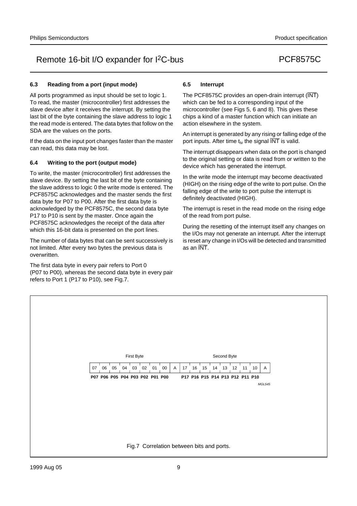## **6.3 Reading from a port (input mode)**

All ports programmed as input should be set to logic 1. To read, the master (microcontroller) first addresses the slave device after it receives the interrupt. By setting the last bit of the byte containing the slave address to logic 1 the read mode is entered. The data bytes that follow on the SDA are the values on the ports.

If the data on the input port changes faster than the master can read, this data may be lost.

## **6.4 Writing to the port (output mode)**

To write, the master (microcontroller) first addresses the slave device. By setting the last bit of the byte containing the slave address to logic 0 the write mode is entered. The PCF8575C acknowledges and the master sends the first data byte for P07 to P00. After the first data byte is acknowledged by the PCF8575C, the second data byte P17 to P10 is sent by the master. Once again the PCF8575C acknowledges the receipt of the data after which this 16-bit data is presented on the port lines.

The number of data bytes that can be sent successively is not limited. After every two bytes the previous data is overwritten.

The first data byte in every pair refers to Port 0 (P07 to P00), whereas the second data byte in every pair refers to Port 1 (P17 to P10), see Fig.7.

### **6.5 Interrupt**

The PCF8575C provides an open-drain interrupt (INT) which can be fed to a corresponding input of the microcontroller (see Figs 5, 6 and 8). This gives these chips a kind of a master function which can initiate an action elsewhere in the system.

An interrupt is generated by any rising or falling edge of the port inputs. After time  $t_{iv}$  the signal  $\overline{INT}$  is valid.

The interrupt disappears when data on the port is changed to the original setting or data is read from or written to the device which has generated the interrupt.

In the write mode the interrupt may become deactivated (HIGH) on the rising edge of the write to port pulse. On the falling edge of the write to port pulse the interrupt is definitely deactivated (HIGH).

The interrupt is reset in the read mode on the rising edge of the read from port pulse.

During the resetting of the interrupt itself any changes on the I/Os may not generate an interrupt. After the interrupt is reset any change in I/Os will be detected and transmitted as an INT.

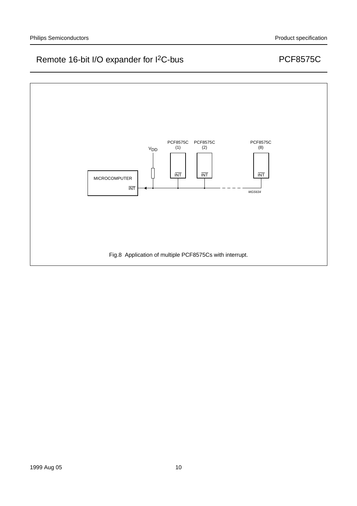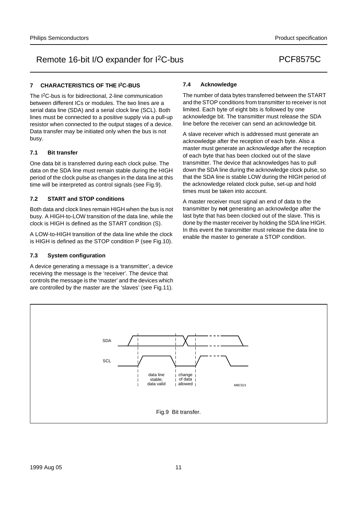## **7 CHARACTERISTICS OF THE I2C-BUS**

The I2C-bus is for bidirectional, 2-line communication between different ICs or modules. The two lines are a serial data line (SDA) and a serial clock line (SCL). Both lines must be connected to a positive supply via a pull-up resistor when connected to the output stages of a device. Data transfer may be initiated only when the bus is not busy.

#### **7.1 Bit transfer**

One data bit is transferred during each clock pulse. The data on the SDA line must remain stable during the HIGH period of the clock pulse as changes in the data line at this time will be interpreted as control signals (see Fig.9).

#### **7.2 START and STOP conditions**

Both data and clock lines remain HIGH when the bus is not busy. A HIGH-to-LOW transition of the data line, while the clock is HIGH is defined as the START condition (S).

A LOW-to-HIGH transition of the data line while the clock is HIGH is defined as the STOP condition P (see Fig.10).

#### **7.3 System configuration**

A device generating a message is a 'transmitter', a device receiving the message is the 'receiver'. The device that controls the message is the 'master' and the devices which are controlled by the master are the 'slaves' (see Fig.11).

#### **7.4 Acknowledge**

The number of data bytes transferred between the START and the STOP conditions from transmitter to receiver is not limited. Each byte of eight bits is followed by one acknowledge bit. The transmitter must release the SDA line before the receiver can send an acknowledge bit.

A slave receiver which is addressed must generate an acknowledge after the reception of each byte. Also a master must generate an acknowledge after the reception of each byte that has been clocked out of the slave transmitter. The device that acknowledges has to pull down the SDA line during the acknowledge clock pulse, so that the SDA line is stable LOW during the HIGH period of the acknowledge related clock pulse, set-up and hold times must be taken into account.

A master receiver must signal an end of data to the transmitter by **not** generating an acknowledge after the last byte that has been clocked out of the slave. This is done by the master receiver by holding the SDA line HIGH. In this event the transmitter must release the data line to enable the master to generate a STOP condition.

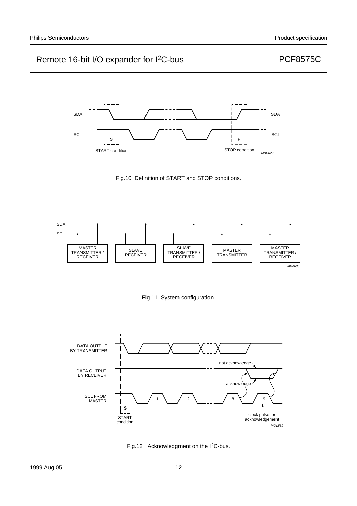



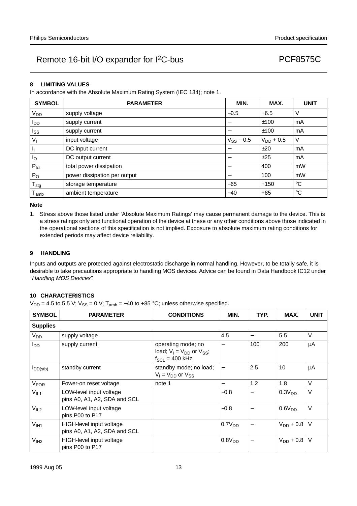#### **8 LIMITING VALUES**

In accordance with the Absolute Maximum Rating System (IEC 134); note 1.

| <b>SYMBOL</b>    | <b>PARAMETER</b>             | MIN.           | MAX.           | <b>UNIT</b>     |
|------------------|------------------------------|----------------|----------------|-----------------|
| V <sub>DD</sub>  | supply voltage               | $-0.5$         | $+6.5$         | V               |
| l <sub>DD</sub>  | supply current               |                | ±100           | mA              |
| $I_{SS}$         | supply current               |                | ±100           | mA              |
| $V_{1}$          | input voltage                | $V_{SS}$ – 0.5 | $V_{DD}$ + 0.5 | V               |
| ı,               | DC input current             |                | ±20            | mA              |
| $I_{\rm O}$      | DC output current            |                | ±25            | mA              |
| $P_{\text{tot}}$ | total power dissipation      |                | 400            | mW              |
| $P_{O}$          | power dissipation per output |                | 100            | mW              |
| $T_{\text{stg}}$ | storage temperature          | $-65$          | $+150$         | $^{\circ}C$     |
| <sup>l</sup> amb | ambient temperature          | $-40$          | $+85$          | $\rm ^{\circ}C$ |

#### **Note**

1. Stress above those listed under 'Absolute Maximum Ratings' may cause permanent damage to the device. This is a stress ratings only and functional operation of the device at these or any other conditions above those indicated in the operational sections of this specification is not implied. Exposure to absolute maximum rating conditions for extended periods may affect device reliability.

#### **9 HANDLING**

Inputs and outputs are protected against electrostatic discharge in normal handling. However, to be totally safe, it is desirable to take precautions appropriate to handling MOS devices. Advice can be found in Data Handbook IC12 under "Handling MOS Devices".

#### **10 CHARACTERISTICS**

 $V_{DD}$  = 4.5 to 5.5 V;  $V_{SS}$  = 0 V; T<sub>amb</sub> = -40 to +85 °C; unless otherwise specified.

| <b>SYMBOL</b>          | <b>PARAMETER</b>                                         | <b>CONDITIONS</b>                                                               | MIN.                     | TYP.                     | MAX.               | <b>UNIT</b> |
|------------------------|----------------------------------------------------------|---------------------------------------------------------------------------------|--------------------------|--------------------------|--------------------|-------------|
| <b>Supplies</b>        |                                                          |                                                                                 |                          |                          |                    |             |
| V <sub>DD</sub>        | supply voltage                                           |                                                                                 | 4.5                      |                          | 5.5                | V           |
| <b>I</b> <sub>DD</sub> | supply current                                           | operating mode; no<br>load; $V_1 = V_{DD}$ or $V_{SS}$ ;<br>$f_{SCL}$ = 400 kHz | $\overline{\phantom{0}}$ | 100                      | 200                | μA          |
| $I_{DD(stb)}$          | standby current                                          | standby mode; no load;<br>$V_1 = V_{DD}$ or $V_{SS}$                            | $\qquad \qquad -$        | 2.5                      | 10                 | μA          |
| <b>V<sub>POR</sub></b> | Power-on reset voltage                                   | note 1                                                                          | $\overline{\phantom{0}}$ | 1.2                      | 1.8                | V           |
| V <sub>IL1</sub>       | LOW-level input voltage<br>pins A0, A1, A2, SDA and SCL  |                                                                                 | $-0.8$                   | $\overline{\phantom{0}}$ | 0.3V <sub>DD</sub> | V           |
| V <sub>IL2</sub>       | LOW-level input voltage<br>pins P00 to P17               |                                                                                 | $-0.8$                   |                          | 0.6V <sub>DD</sub> | $\vee$      |
| V <sub>IH1</sub>       | HIGH-level input voltage<br>pins A0, A1, A2, SDA and SCL |                                                                                 | 0.7V <sub>DD</sub>       |                          | $V_{DD} + 0.8$     | $\vee$      |
| V <sub>IH2</sub>       | HIGH-level input voltage<br>pins P00 to P17              |                                                                                 | 0.8V <sub>DD</sub>       | $\overline{\phantom{0}}$ | $V_{DD}$ + 0.8     | $\vee$      |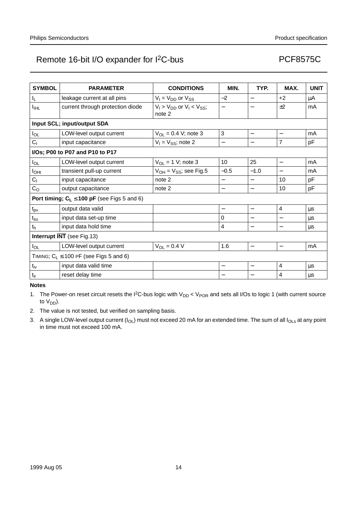| <b>SYMBOL</b>                     | <b>PARAMETER</b>                                 | <b>CONDITIONS</b>                                | MIN.                     | TYP.                     | MAX.                     | <b>UNIT</b> |
|-----------------------------------|--------------------------------------------------|--------------------------------------------------|--------------------------|--------------------------|--------------------------|-------------|
| $I_{\mathsf{L}}$                  | leakage current at all pins                      | $V_1 = V_{DD}$ or $V_{SS}$                       | $-2$                     |                          | $+2$                     | μA          |
| $I_{\text{IHL}}$                  | current through protection diode                 | $V_1$ > $V_{DD}$ or $V_1$ < $V_{SS}$ ;<br>note 2 | $\overline{\phantom{0}}$ | $\overline{\phantom{0}}$ | ±2                       | mA          |
|                                   | Input SCL; input/output SDA                      |                                                  |                          |                          |                          |             |
| $I_{OL}$                          | LOW-level output current                         | $V_{OL} = 0.4 V$ ; note 3                        | $\mathbf{3}$             |                          |                          | mA          |
| C <sub>1</sub>                    | input capacitance                                | $V_1 = V_{SS}$ ; note 2                          | —                        | $\overline{\phantom{0}}$ | $\overline{7}$           | pF          |
|                                   | I/Os; P00 to P07 and P10 to P17                  |                                                  |                          |                          |                          |             |
| $I_{OL}$                          | LOW-level output current                         | $V_{OL}$ = 1 V; note 3                           | 10                       | 25                       | —                        | mA          |
| $I_{\text{OHt}}$                  | transient pull-up current                        | $V_{OH} = V_{SS}$ ; see Fig.5                    | $-0.5$                   | $-1.0$                   | $\overline{\phantom{0}}$ | mA          |
| C <sub>1</sub>                    | input capacitance                                | note 2                                           | —                        | —                        | 10                       | pF          |
| C <sub>O</sub>                    | output capacitance                               | note 2                                           | —                        | $\overline{\phantom{0}}$ | 10                       | рF          |
|                                   | Port timing; $C_L \le 100$ pF (see Figs 5 and 6) |                                                  |                          |                          |                          |             |
| $t_{\mathsf{pv}}$                 | output data valid                                |                                                  | —                        | $\overline{\phantom{0}}$ | $\overline{4}$           | μs          |
| $t_{\scriptscriptstyle\text{SU}}$ | input data set-up time                           |                                                  | $\Omega$                 |                          |                          | μs          |
| t <sub>h</sub>                    | input data hold time                             |                                                  | 4                        |                          |                          | μs          |
| <b>Interrupt INT</b> (see Fig.13) |                                                  |                                                  |                          |                          |                          |             |
| $I_{OL}$                          | LOW-level output current                         | $V_{OL} = 0.4 V$                                 | 1.6                      | $\qquad \qquad -$        | $\overline{\phantom{0}}$ | mA          |
|                                   | TIMING; $C_L \le 100$ PF (see Figs 5 and 6)      |                                                  |                          |                          |                          |             |
| $t_{iv}$                          | input data valid time                            |                                                  | —                        | $\overline{\phantom{0}}$ | $\overline{4}$           | μs          |
| $t_{ir}$                          | reset delay time                                 |                                                  |                          |                          | $\overline{4}$           | μs          |

**Notes**

1. The Power-on reset circuit resets the I<sup>2</sup>C-bus logic with  $V_{DD}$  <  $V_{POR}$  and sets all I/Os to logic 1 (with current source to  $V_{DD}$ ).

2. The value is not tested, but verified on sampling basis.

3. A single LOW-level output current  $(I_{OL})$  must not exceed 20 mA for an extended time. The sum of all  $I_{OLs}$  at any point in time must not exceed 100 mA.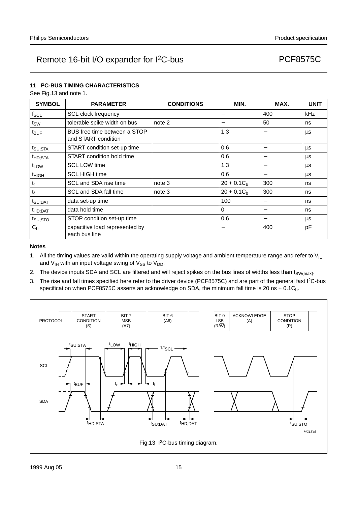### **11 I2C-BUS TIMING CHARACTERISTICS**

See Fig.13 and note 1.

| <b>SYMBOL</b>       | <b>PARAMETER</b>                                    | <b>CONDITIONS</b> | MIN.         | MAX.                     | <b>UNIT</b> |
|---------------------|-----------------------------------------------------|-------------------|--------------|--------------------------|-------------|
| $f_{\mathsf{SCL}}$  | <b>SCL clock frequency</b>                          |                   | —            | 400                      | kHz         |
| tsw                 | tolerable spike width on bus                        | note 2            | —            | 50                       | ns          |
| t <sub>BUF</sub>    | BUS free time between a STOP<br>and START condition |                   | 1.3          |                          | μs          |
| t <sub>SU;STA</sub> | START condition set-up time                         |                   | 0.6          |                          | <b>us</b>   |
| <sup>t</sup> HD;STA | START condition hold time                           |                   | 0.6          | $\overline{\phantom{0}}$ | μs          |
| t <sub>LOW</sub>    | <b>SCL LOW time</b>                                 |                   | 1.3          | $\overline{\phantom{0}}$ | μs          |
| t <sub>HIGH</sub>   | <b>SCL HIGH time</b>                                |                   | 0.6          |                          | μs          |
| t,                  | SCL and SDA rise time                               | note 3            | $20 + 0.1Ch$ | 300                      | ns          |
| t <sub>f</sub>      | SCL and SDA fall time                               | note 3            | $20 + 0.1Cb$ | 300                      | ns          |
| $t_{\text{SU;DAT}}$ | data set-up time                                    |                   | 100          |                          | ns          |
| t <sub>HD;DAT</sub> | data hold time                                      |                   | $\Omega$     | $\overline{\phantom{0}}$ | ns          |
| ts∪;sтo             | STOP condition set-up time                          |                   | 0.6          |                          | μs          |
| $C_{b}$             | capacitive load represented by<br>each bus line     |                   |              | 400                      | pF          |

#### **Notes**

- 1. All the timing values are valid within the operating supply voltage and ambient temperature range and refer to  $V_{|L}$ and  $V_{IH}$  with an input voltage swing of  $V_{SS}$  to  $V_{DD}$ .
- 2. The device inputs SDA and SCL are filtered and will reject spikes on the bus lines of widths less than t<sub>SW(max)</sub>.
- 3. The rise and fall times specified here refer to the driver device (PCF8575C) and are part of the general fast I<sup>2</sup>C-bus specification when PCF8575C asserts an acknowledge on SDA, the minimum fall time is 20 ns +  $0.1C<sub>b</sub>$ .

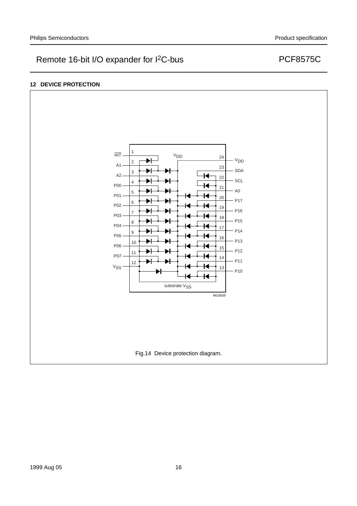### **12 DEVICE PROTECTION**

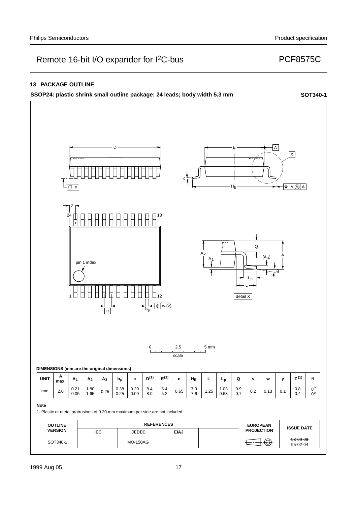### **13 PACKAGE OUTLINE**

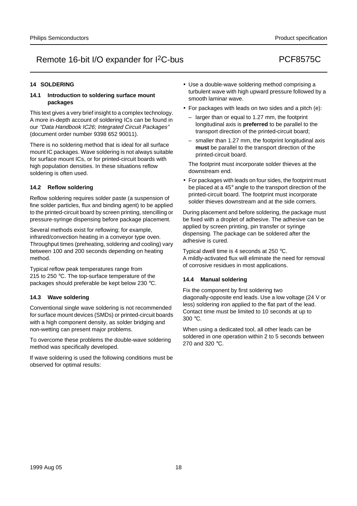### **14 SOLDERING**

#### **14.1 Introduction to soldering surface mount packages**

This text gives a very brief insight to a complex technology. A more in-depth account of soldering ICs can be found in our "Data Handbook IC26; Integrated Circuit Packages" (document order number 9398 652 90011).

There is no soldering method that is ideal for all surface mount IC packages. Wave soldering is not always suitable for surface mount ICs, or for printed-circuit boards with high population densities. In these situations reflow soldering is often used.

#### **14.2 Reflow soldering**

Reflow soldering requires solder paste (a suspension of fine solder particles, flux and binding agent) to be applied to the printed-circuit board by screen printing, stencilling or pressure-syringe dispensing before package placement.

Several methods exist for reflowing; for example, infrared/convection heating in a conveyor type oven. Throughput times (preheating, soldering and cooling) vary between 100 and 200 seconds depending on heating method.

Typical reflow peak temperatures range from 215 to 250 °C. The top-surface temperature of the packages should preferable be kept below 230 °C.

#### **14.3 Wave soldering**

Conventional single wave soldering is not recommended for surface mount devices (SMDs) or printed-circuit boards with a high component density, as solder bridging and non-wetting can present major problems.

To overcome these problems the double-wave soldering method was specifically developed.

If wave soldering is used the following conditions must be observed for optimal results:

- Use a double-wave soldering method comprising a turbulent wave with high upward pressure followed by a smooth laminar wave.
- For packages with leads on two sides and a pitch (e):
	- larger than or equal to 1.27 mm, the footprint longitudinal axis is **preferred** to be parallel to the transport direction of the printed-circuit board;
	- smaller than 1.27 mm, the footprint longitudinal axis **must** be parallel to the transport direction of the printed-circuit board.

The footprint must incorporate solder thieves at the downstream end.

• For packages with leads on four sides, the footprint must be placed at a 45° angle to the transport direction of the printed-circuit board. The footprint must incorporate solder thieves downstream and at the side corners.

During placement and before soldering, the package must be fixed with a droplet of adhesive. The adhesive can be applied by screen printing, pin transfer or syringe dispensing. The package can be soldered after the adhesive is cured.

Typical dwell time is 4 seconds at 250 °C. A mildly-activated flux will eliminate the need for removal of corrosive residues in most applications.

### **14.4 Manual soldering**

Fix the component by first soldering two diagonally-opposite end leads. Use a low voltage (24 V or less) soldering iron applied to the flat part of the lead. Contact time must be limited to 10 seconds at up to 300 °C.

When using a dedicated tool, all other leads can be soldered in one operation within 2 to 5 seconds between 270 and 320 °C.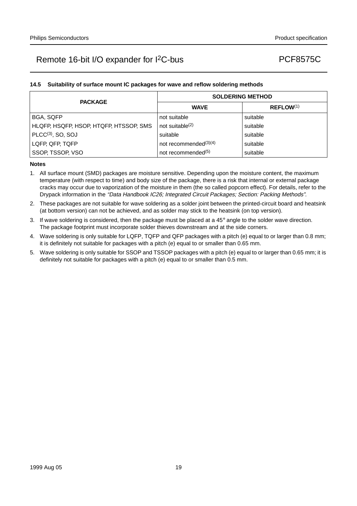### **14.5 Suitability of surface mount IC packages for wave and reflow soldering methods**

| <b>PACKAGE</b>                         | <b>SOLDERING METHOD</b>        |                       |  |  |
|----------------------------------------|--------------------------------|-----------------------|--|--|
|                                        | <b>WAVE</b>                    | REFLOW <sup>(1)</sup> |  |  |
| <b>BGA, SQFP</b>                       | not suitable                   | suitable              |  |  |
| HLQFP, HSQFP, HSOP, HTQFP, HTSSOP, SMS | not suitable <sup>(2)</sup>    | suitable              |  |  |
| $PLCC(3)$ , SO, SOJ                    | suitable                       | suitable              |  |  |
| LQFP, QFP, TQFP                        | not recommended $(3)(4)$       | suitable              |  |  |
| SSOP, TSSOP, VSO                       | not recommended <sup>(5)</sup> | suitable              |  |  |

#### **Notes**

- 1. All surface mount (SMD) packages are moisture sensitive. Depending upon the moisture content, the maximum temperature (with respect to time) and body size of the package, there is a risk that internal or external package cracks may occur due to vaporization of the moisture in them (the so called popcorn effect). For details, refer to the Drypack information in the "Data Handbook IC26; Integrated Circuit Packages; Section: Packing Methods".
- 2. These packages are not suitable for wave soldering as a solder joint between the printed-circuit board and heatsink (at bottom version) can not be achieved, and as solder may stick to the heatsink (on top version).
- 3. If wave soldering is considered, then the package must be placed at a  $45^\circ$  angle to the solder wave direction. The package footprint must incorporate solder thieves downstream and at the side corners.
- 4. Wave soldering is only suitable for LQFP, TQFP and QFP packages with a pitch (e) equal to or larger than 0.8 mm; it is definitely not suitable for packages with a pitch (e) equal to or smaller than 0.65 mm.
- 5. Wave soldering is only suitable for SSOP and TSSOP packages with a pitch (e) equal to or larger than 0.65 mm; it is definitely not suitable for packages with a pitch (e) equal to or smaller than 0.5 mm.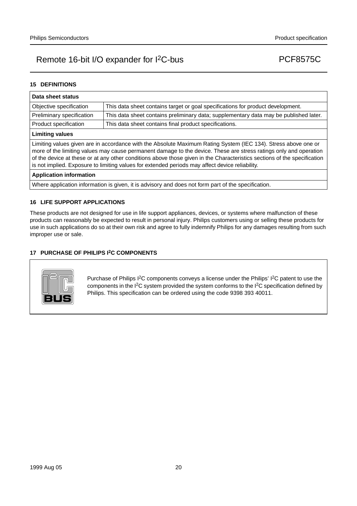### **15 DEFINITIONS**

| Data sheet status                                                                                                                                                                                                                                                                                                                                                                                                                                                  |                                                                                       |  |  |  |
|--------------------------------------------------------------------------------------------------------------------------------------------------------------------------------------------------------------------------------------------------------------------------------------------------------------------------------------------------------------------------------------------------------------------------------------------------------------------|---------------------------------------------------------------------------------------|--|--|--|
| Objective specification                                                                                                                                                                                                                                                                                                                                                                                                                                            | This data sheet contains target or goal specifications for product development.       |  |  |  |
| Preliminary specification                                                                                                                                                                                                                                                                                                                                                                                                                                          | This data sheet contains preliminary data; supplementary data may be published later. |  |  |  |
| Product specification                                                                                                                                                                                                                                                                                                                                                                                                                                              | This data sheet contains final product specifications.                                |  |  |  |
| <b>Limiting values</b>                                                                                                                                                                                                                                                                                                                                                                                                                                             |                                                                                       |  |  |  |
| Limiting values given are in accordance with the Absolute Maximum Rating System (IEC 134). Stress above one or<br>more of the limiting values may cause permanent damage to the device. These are stress ratings only and operation<br>of the device at these or at any other conditions above those given in the Characteristics sections of the specification<br>is not implied. Exposure to limiting values for extended periods may affect device reliability. |                                                                                       |  |  |  |
| <b>Application information</b>                                                                                                                                                                                                                                                                                                                                                                                                                                     |                                                                                       |  |  |  |

Where application information is given, it is advisory and does not form part of the specification.

#### **16 LIFE SUPPORT APPLICATIONS**

These products are not designed for use in life support appliances, devices, or systems where malfunction of these products can reasonably be expected to result in personal injury. Philips customers using or selling these products for use in such applications do so at their own risk and agree to fully indemnify Philips for any damages resulting from such improper use or sale.

### **17 PURCHASE OF PHILIPS I2C COMPONENTS**



Purchase of Philips I<sup>2</sup>C components conveys a license under the Philips' I<sup>2</sup>C patent to use the components in the I2C system provided the system conforms to the I2C specification defined by Philips. This specification can be ordered using the code 9398 393 40011.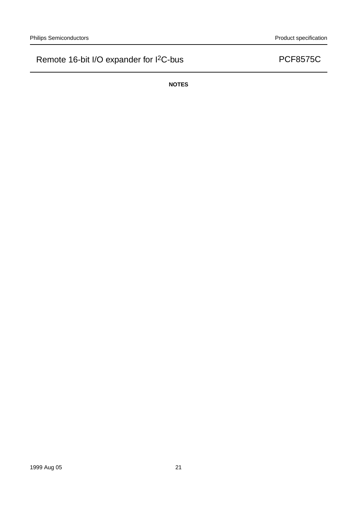**NOTES**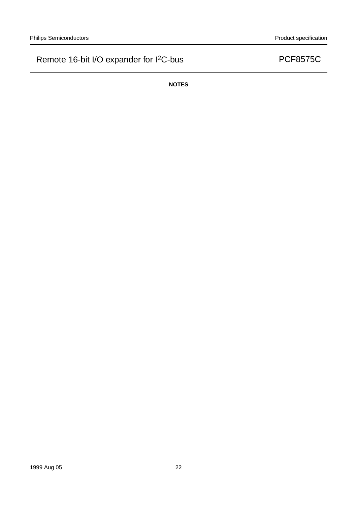**NOTES**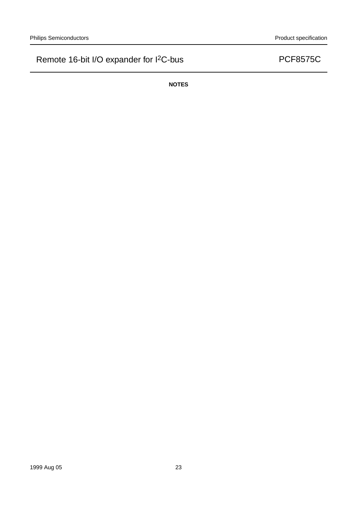**NOTES**